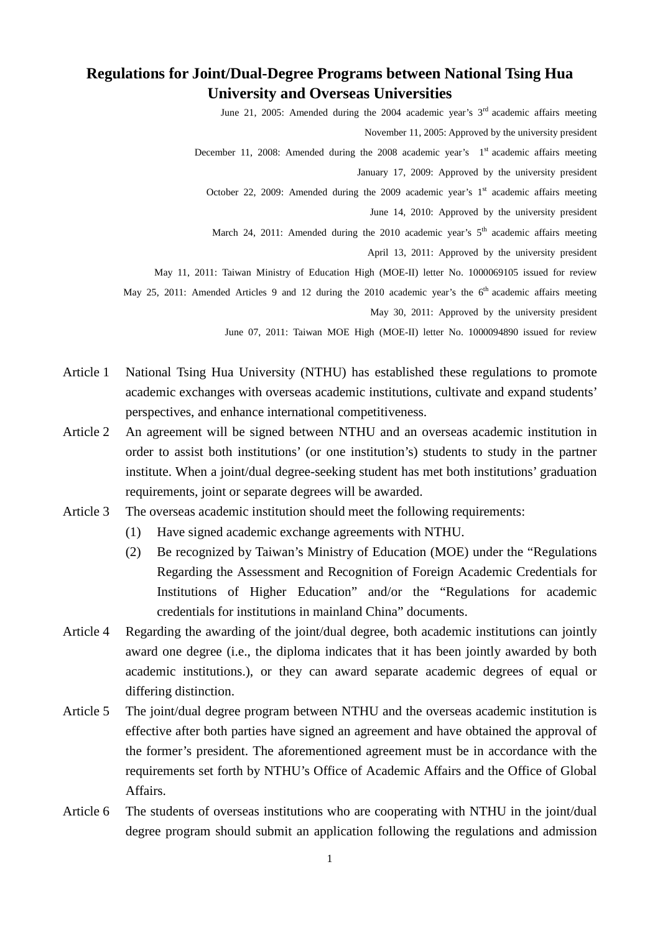## **Regulations for Joint/Dual-Degree Programs between National Tsing Hua University and Overseas Universities**

June 21, 2005: Amended during the 2004 academic year's 3<sup>rd</sup> academic affairs meeting

November 11, 2005: Approved by the university president

December 11, 2008: Amended during the 2008 academic year's  $1<sup>st</sup>$  academic affairs meeting

January 17, 2009: Approved by the university president

October 22, 2009: Amended during the 2009 academic year's  $1<sup>st</sup>$  academic affairs meeting

June 14, 2010: Approved by the university president

March 24, 2011: Amended during the 2010 academic year's  $5<sup>th</sup>$  academic affairs meeting

April 13, 2011: Approved by the university president

May 11, 2011: Taiwan Ministry of Education High (MOE-II) letter No. 1000069105 issued for review

May 25, 2011: Amended Articles 9 and 12 during the 2010 academic year's the  $6<sup>th</sup>$  academic affairs meeting

May 30, 2011: Approved by the university president

June 07, 2011: Taiwan MOE High (MOE-II) letter No. 1000094890 issued for review

- Article 1 National Tsing Hua University (NTHU) has established these regulations to promote academic exchanges with overseas academic institutions, cultivate and expand students' perspectives, and enhance international competitiveness.
- Article 2 An agreement will be signed between NTHU and an overseas academic institution in order to assist both institutions' (or one institution's) students to study in the partner institute. When a joint/dual degree-seeking student has met both institutions' graduation requirements, joint or separate degrees will be awarded.
- Article 3 The overseas academic institution should meet the following requirements:
	- (1) Have signed academic exchange agreements with NTHU.
	- (2) Be recognized by Taiwan's Ministry of Education (MOE) under the "Regulations Regarding the Assessment and Recognition of Foreign Academic Credentials for Institutions of Higher Education" and/or the "Regulations for academic credentials for institutions in mainland China" documents.
- Article 4 Regarding the awarding of the joint/dual degree, both academic institutions can jointly award one degree (i.e., the diploma indicates that it has been jointly awarded by both academic institutions.), or they can award separate academic degrees of equal or differing distinction.
- Article 5 The joint/dual degree program between NTHU and the overseas academic institution is effective after both parties have signed an agreement and have obtained the approval of the former's president. The aforementioned agreement must be in accordance with the requirements set forth by NTHU's Office of Academic Affairs and the Office of Global Affairs.
- Article 6 The students of overseas institutions who are cooperating with NTHU in the joint/dual degree program should submit an application following the regulations and admission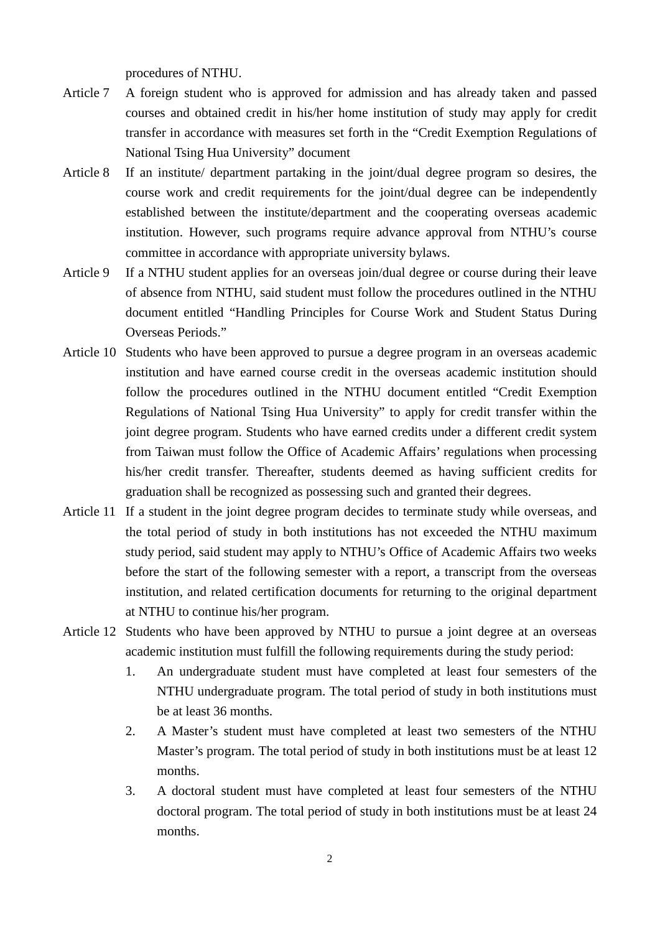procedures of NTHU.

- Article 7 A foreign student who is approved for admission and has already taken and passed courses and obtained credit in his/her home institution of study may apply for credit transfer in accordance with measures set forth in the "Credit Exemption Regulations of National Tsing Hua University" document
- Article 8 If an institute/ department partaking in the joint/dual degree program so desires, the course work and credit requirements for the joint/dual degree can be independently established between the institute/department and the cooperating overseas academic institution. However, such programs require advance approval from NTHU's course committee in accordance with appropriate university bylaws.
- Article 9 If a NTHU student applies for an overseas join/dual degree or course during their leave of absence from NTHU, said student must follow the procedures outlined in the NTHU document entitled "Handling Principles for Course Work and Student Status During Overseas Periods."
- Article 10 Students who have been approved to pursue a degree program in an overseas academic institution and have earned course credit in the overseas academic institution should follow the procedures outlined in the NTHU document entitled "Credit Exemption Regulations of National Tsing Hua University" to apply for credit transfer within the joint degree program. Students who have earned credits under a different credit system from Taiwan must follow the Office of Academic Affairs' regulations when processing his/her credit transfer. Thereafter, students deemed as having sufficient credits for graduation shall be recognized as possessing such and granted their degrees.
- Article 11 If a student in the joint degree program decides to terminate study while overseas, and the total period of study in both institutions has not exceeded the NTHU maximum study period, said student may apply to NTHU's Office of Academic Affairs two weeks before the start of the following semester with a report, a transcript from the overseas institution, and related certification documents for returning to the original department at NTHU to continue his/her program.
- Article 12 Students who have been approved by NTHU to pursue a joint degree at an overseas academic institution must fulfill the following requirements during the study period:
	- 1. An undergraduate student must have completed at least four semesters of the NTHU undergraduate program. The total period of study in both institutions must be at least 36 months.
	- 2. A Master's student must have completed at least two semesters of the NTHU Master's program. The total period of study in both institutions must be at least 12 months.
	- 3. A doctoral student must have completed at least four semesters of the NTHU doctoral program. The total period of study in both institutions must be at least 24 months.